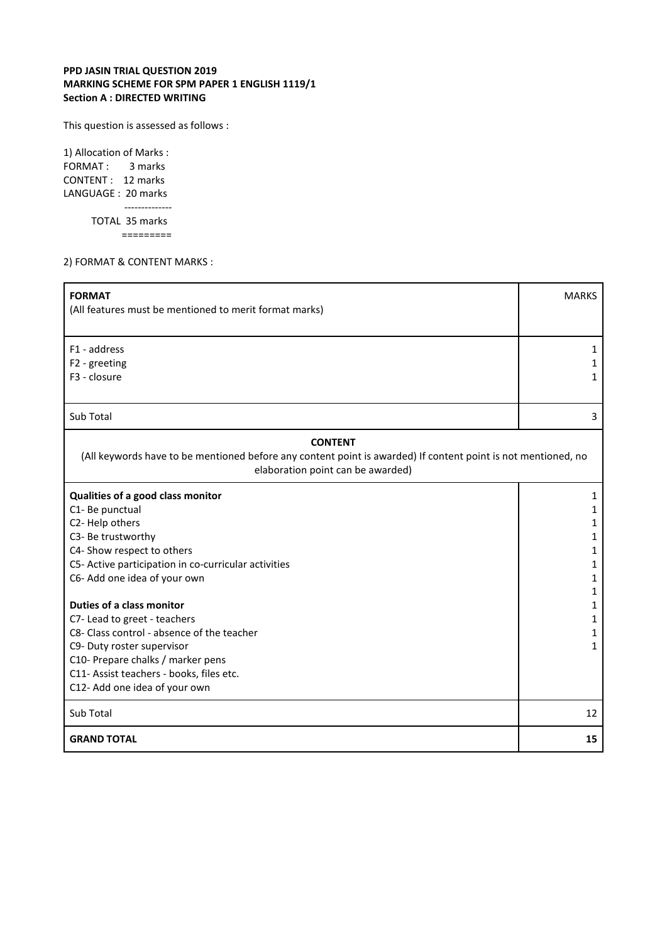## **PPD JASIN TRIAL QUESTION 2019 MARKING SCHEME FOR SPM PAPER 1 ENGLISH 1119/1 Section A : DIRECTED WRITING**

This question is assessed as follows :

1) Allocation of Marks : FORMAT: 3 marks CONTENT : 12 marks LANGUAGE : 20 marks -------------- TOTAL 35 marks =========

2) FORMAT & CONTENT MARKS :

| <b>FORMAT</b><br>(All features must be mentioned to merit format marks)                                                                                              | <b>MARKS</b> |
|----------------------------------------------------------------------------------------------------------------------------------------------------------------------|--------------|
|                                                                                                                                                                      |              |
| F1 - address                                                                                                                                                         | 1            |
| F2 - greeting                                                                                                                                                        | 1            |
| F3 - closure                                                                                                                                                         | 1            |
|                                                                                                                                                                      |              |
| Sub Total                                                                                                                                                            | 3            |
| <b>CONTENT</b><br>(All keywords have to be mentioned before any content point is awarded) If content point is not mentioned, no<br>elaboration point can be awarded) |              |
| Qualities of a good class monitor                                                                                                                                    | 1            |
| C1-Be punctual                                                                                                                                                       | 1            |
| C2-Help others                                                                                                                                                       | 1            |
| C3- Be trustworthy                                                                                                                                                   | 1            |
| C4- Show respect to others                                                                                                                                           | 1            |
| C5- Active participation in co-curricular activities                                                                                                                 | 1            |
| C6- Add one idea of your own                                                                                                                                         | 1            |
|                                                                                                                                                                      | 1            |
| Duties of a class monitor                                                                                                                                            | 1            |
| C7-Lead to greet - teachers                                                                                                                                          | 1            |
| C8- Class control - absence of the teacher                                                                                                                           | 1            |
| C9- Duty roster supervisor                                                                                                                                           | $\mathbf{1}$ |
| C10- Prepare chalks / marker pens<br>C11- Assist teachers - books, files etc.                                                                                        |              |
| C12- Add one idea of your own                                                                                                                                        |              |
|                                                                                                                                                                      |              |
| Sub Total                                                                                                                                                            | 12           |
| <b>GRAND TOTAL</b>                                                                                                                                                   | 15           |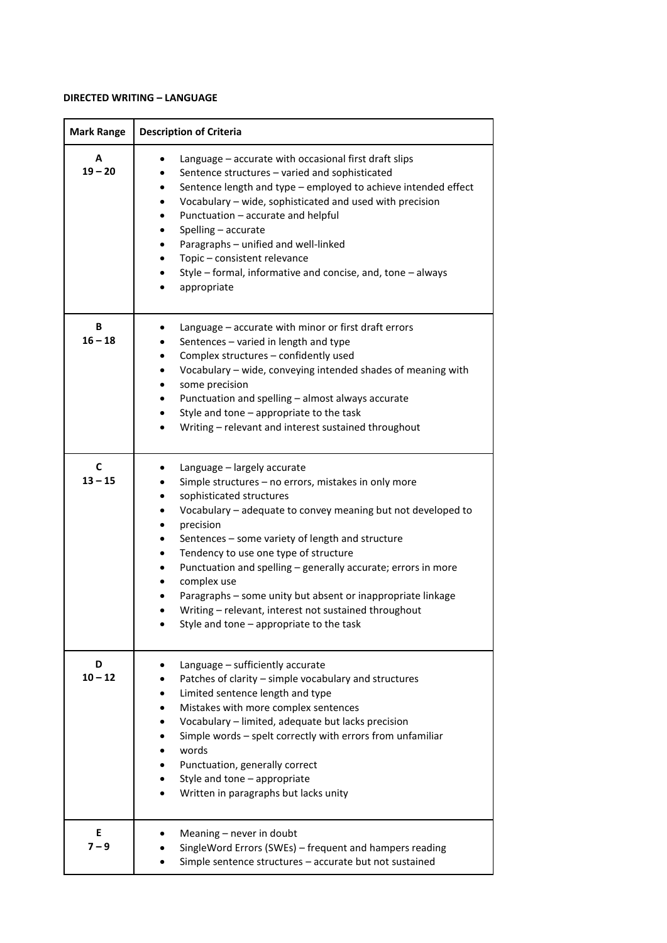## **DIRECTED WRITING – LANGUAGE**

| <b>Mark Range</b> | <b>Description of Criteria</b>                                                                                                                                                                                                                                                                                                                                                                                                                                                                                                                                                                                |
|-------------------|---------------------------------------------------------------------------------------------------------------------------------------------------------------------------------------------------------------------------------------------------------------------------------------------------------------------------------------------------------------------------------------------------------------------------------------------------------------------------------------------------------------------------------------------------------------------------------------------------------------|
| A<br>$19 - 20$    | Language - accurate with occasional first draft slips<br>٠<br>Sentence structures - varied and sophisticated<br>٠<br>Sentence length and type - employed to achieve intended effect<br>$\bullet$<br>Vocabulary - wide, sophisticated and used with precision<br>$\bullet$<br>Punctuation - accurate and helpful<br>$\bullet$<br>Spelling - accurate<br>$\bullet$<br>Paragraphs - unified and well-linked<br>$\bullet$<br>Topic - consistent relevance<br>$\bullet$<br>Style - formal, informative and concise, and, tone - always<br>$\bullet$<br>appropriate                                                 |
| В<br>$16 - 18$    | Language - accurate with minor or first draft errors<br>Sentences - varied in length and type<br>Complex structures - confidently used<br>Vocabulary - wide, conveying intended shades of meaning with<br>$\bullet$<br>some precision<br>Punctuation and spelling - almost always accurate<br>$\bullet$<br>Style and tone - appropriate to the task<br>$\bullet$<br>Writing - relevant and interest sustained throughout<br>$\bullet$                                                                                                                                                                         |
| C<br>$13 - 15$    | Language - largely accurate<br>Simple structures - no errors, mistakes in only more<br>sophisticated structures<br>٠<br>Vocabulary - adequate to convey meaning but not developed to<br>precision<br>$\bullet$<br>Sentences - some variety of length and structure<br>$\bullet$<br>Tendency to use one type of structure<br>$\bullet$<br>Punctuation and spelling - generally accurate; errors in more<br>$\bullet$<br>complex use<br>٠<br>Paragraphs - some unity but absent or inappropriate linkage<br>Writing - relevant, interest not sustained throughout<br>Style and tone $-$ appropriate to the task |
| D<br>$10 - 12$    | Language - sufficiently accurate<br>Patches of clarity - simple vocabulary and structures<br>Limited sentence length and type<br>Mistakes with more complex sentences<br>٠<br>Vocabulary - limited, adequate but lacks precision<br>Simple words - spelt correctly with errors from unfamiliar<br>words<br>Punctuation, generally correct<br>Style and tone - appropriate<br>Written in paragraphs but lacks unity                                                                                                                                                                                            |
| E<br>$7 - 9$      | Meaning – never in doubt<br>SingleWord Errors (SWEs) - frequent and hampers reading<br>Simple sentence structures - accurate but not sustained                                                                                                                                                                                                                                                                                                                                                                                                                                                                |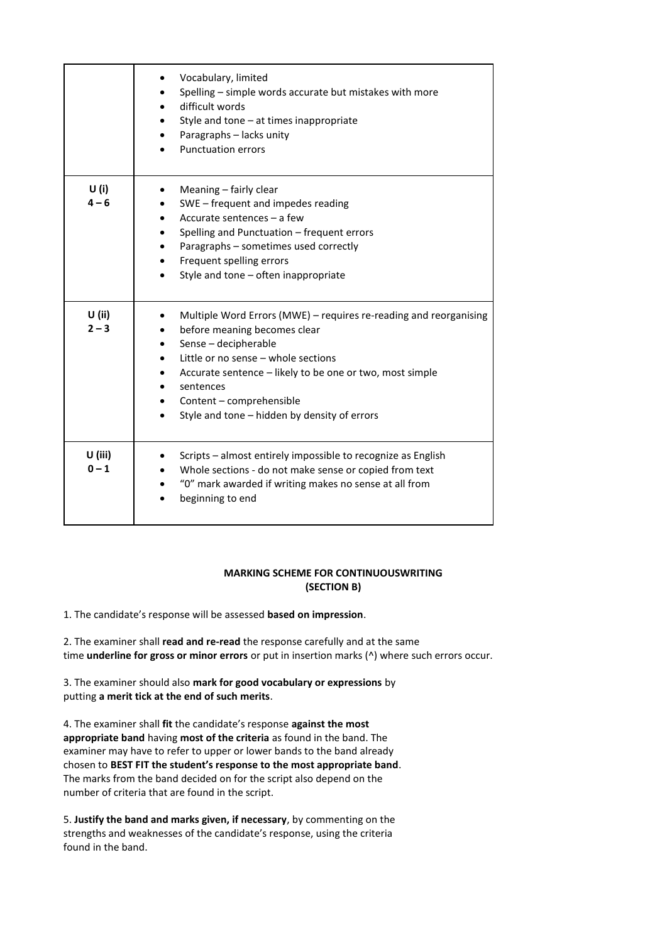|                     | Vocabulary, limited<br>Spelling - simple words accurate but mistakes with more<br>٠<br>difficult words<br>$\bullet$<br>Style and tone - at times inappropriate<br>Paragraphs - lacks unity<br>$\bullet$<br><b>Punctuation errors</b>                                                                                                                                |
|---------------------|---------------------------------------------------------------------------------------------------------------------------------------------------------------------------------------------------------------------------------------------------------------------------------------------------------------------------------------------------------------------|
| U(i)<br>$4 - 6$     | Meaning – fairly clear<br>SWE - frequent and impedes reading<br>$\bullet$<br>Accurate sentences - a few<br>$\bullet$<br>Spelling and Punctuation - frequent errors<br>Paragraphs - sometimes used correctly<br>$\bullet$<br>Frequent spelling errors<br>$\bullet$<br>Style and tone - often inappropriate                                                           |
| $U$ (ii)<br>$2 - 3$ | Multiple Word Errors (MWE) - requires re-reading and reorganising<br>٠<br>before meaning becomes clear<br>Sense - decipherable<br>٠<br>Little or no sense - whole sections<br>$\bullet$<br>Accurate sentence - likely to be one or two, most simple<br>٠<br>sentences<br>٠<br>Content - comprehensible<br>$\bullet$<br>Style and tone - hidden by density of errors |
| U (iii)<br>$0 - 1$  | Scripts - almost entirely impossible to recognize as English<br>Whole sections - do not make sense or copied from text<br>٠<br>"0" mark awarded if writing makes no sense at all from<br>beginning to end                                                                                                                                                           |

## **MARKING SCHEME FOR CONTINUOUSWRITING (SECTION B)**

1. The candidate's response will be assessed **based on impression**.

2. The examiner shall **read and re-read** the response carefully and at the same time **underline for gross or minor errors** or put in insertion marks (^) where such errors occur.

3. The examiner should also **mark for good vocabulary or expressions** by putting **a merit tick at the end of such merits**.

4. The examiner shall **fit** the candidate's response **against the most appropriate band** having **most of the criteria** as found in the band. The examiner may have to refer to upper or lower bands to the band already chosen to **BEST FIT the student's response to the most appropriate band**. The marks from the band decided on for the script also depend on the number of criteria that are found in the script.

5. **Justify the band and marks given, if necessary**, by commenting on the strengths and weaknesses of the candidate's response, using the criteria found in the band.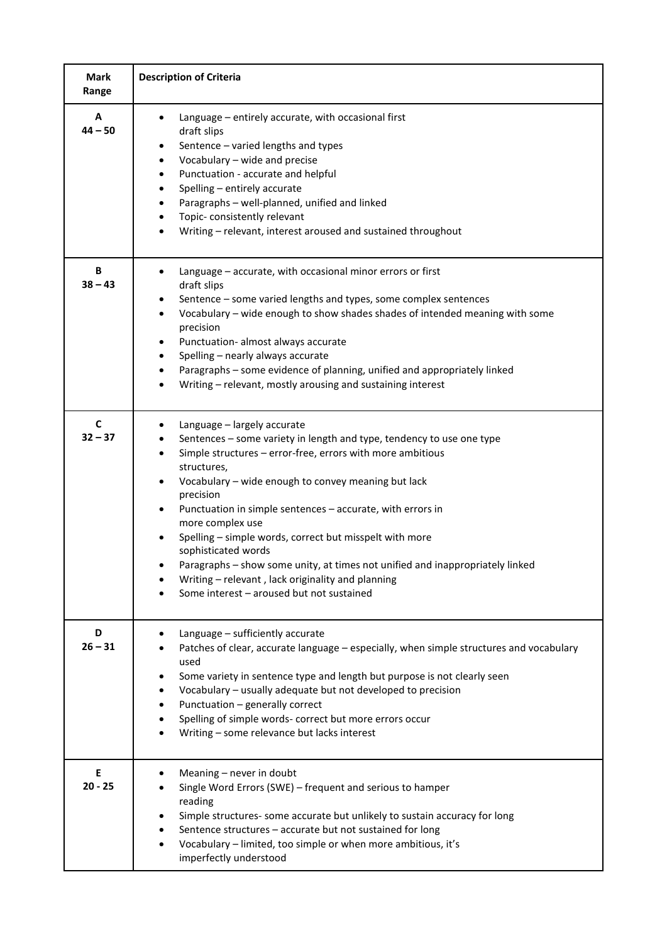| <b>Mark</b><br>Range     | <b>Description of Criteria</b>                                                                                                                                                                                                                                                                                                                                                                                                                                                                                                                                                                                                                      |
|--------------------------|-----------------------------------------------------------------------------------------------------------------------------------------------------------------------------------------------------------------------------------------------------------------------------------------------------------------------------------------------------------------------------------------------------------------------------------------------------------------------------------------------------------------------------------------------------------------------------------------------------------------------------------------------------|
| A<br>$44 - 50$           | Language - entirely accurate, with occasional first<br>draft slips<br>Sentence - varied lengths and types<br>٠<br>Vocabulary - wide and precise<br>$\bullet$<br>Punctuation - accurate and helpful<br>Spelling - entirely accurate<br>Paragraphs - well-planned, unified and linked<br>Topic-consistently relevant<br>Writing - relevant, interest aroused and sustained throughout                                                                                                                                                                                                                                                                 |
| B<br>$38 - 43$           | Language - accurate, with occasional minor errors or first<br>draft slips<br>Sentence - some varied lengths and types, some complex sentences<br>٠<br>Vocabulary - wide enough to show shades shades of intended meaning with some<br>precision<br>Punctuation- almost always accurate<br>Spelling - nearly always accurate<br>Paragraphs - some evidence of planning, unified and appropriately linked<br>Writing - relevant, mostly arousing and sustaining interest                                                                                                                                                                              |
| $\mathbf c$<br>$32 - 37$ | Language - largely accurate<br>Sentences - some variety in length and type, tendency to use one type<br>$\bullet$<br>Simple structures - error-free, errors with more ambitious<br>$\bullet$<br>structures,<br>Vocabulary - wide enough to convey meaning but lack<br>precision<br>Punctuation in simple sentences - accurate, with errors in<br>$\bullet$<br>more complex use<br>Spelling - simple words, correct but misspelt with more<br>sophisticated words<br>Paragraphs - show some unity, at times not unified and inappropriately linked<br>Writing - relevant, lack originality and planning<br>Some interest - aroused but not sustained |
| D<br>$26 - 31$           | Language - sufficiently accurate<br>Patches of clear, accurate language - especially, when simple structures and vocabulary<br>used<br>Some variety in sentence type and length but purpose is not clearly seen<br>Vocabulary - usually adequate but not developed to precision<br>Punctuation - generally correct<br>Spelling of simple words- correct but more errors occur<br>Writing - some relevance but lacks interest                                                                                                                                                                                                                        |
| E<br>$20 - 25$           | Meaning - never in doubt<br>Single Word Errors (SWE) - frequent and serious to hamper<br>reading<br>Simple structures- some accurate but unlikely to sustain accuracy for long<br>Sentence structures - accurate but not sustained for long<br>Vocabulary - limited, too simple or when more ambitious, it's<br>imperfectly understood                                                                                                                                                                                                                                                                                                              |